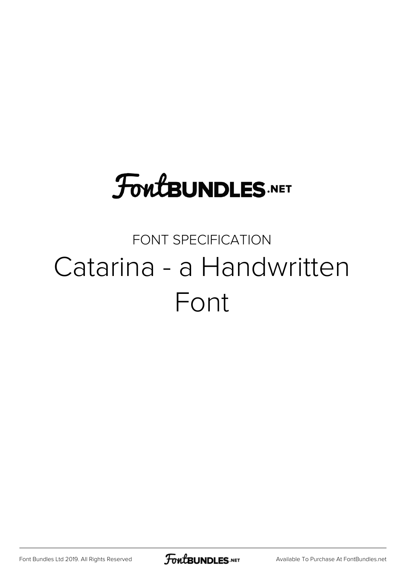# **FoutBUNDLES.NET**

## FONT SPECIFICATION Catarina - a Handwritten Font

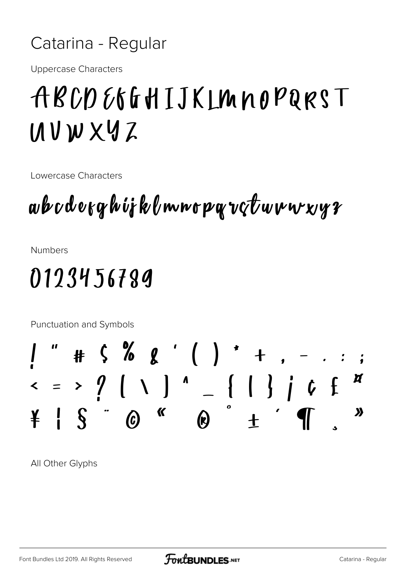#### Catarina - Regular

**Uppercase Characters** 

## ABCDE6GHIJKLMNOPQRST  $10V$ W X Y Z

Lowercase Characters

## aboderghijklmnopgvçtuvwxyr

**Numbers** 

### 0123456789

Punctuation and Symbols

All Other Glyphs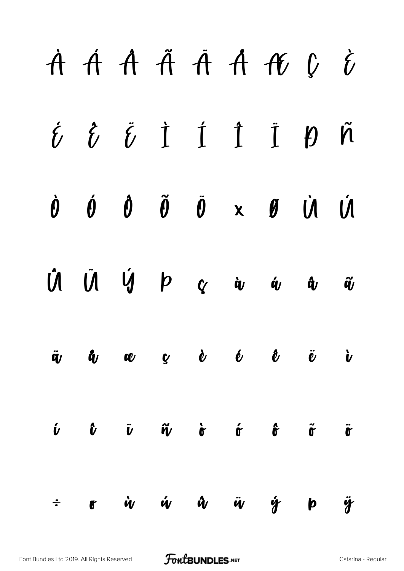|                 |                       |  |  | À Á Â Ã Ã A K Ç Č                                                                                                                                                                                                                                                                                                                                                                                                                                                                         |                                           |                              |
|-----------------|-----------------------|--|--|-------------------------------------------------------------------------------------------------------------------------------------------------------------------------------------------------------------------------------------------------------------------------------------------------------------------------------------------------------------------------------------------------------------------------------------------------------------------------------------------|-------------------------------------------|------------------------------|
|                 |                       |  |  | $\acute{\theta}$ $\acute{\theta}$ $\acute{\theta}$ $\acute{1}$ $\acute{1}$ $\acute{1}$ $\acute{1}$ $\acute{1}$ $\acute{1}$ $\acute{1}$ $\acute{1}$ $\acute{1}$ $\acute{1}$ $\acute{1}$ $\acute{1}$ $\acute{1}$ $\acute{1}$ $\acute{1}$ $\acute{1}$ $\acute{1}$ $\acute{1}$ $\acute{1}$ $\acute{1}$ $\acute{1}$ $\acute{1}$ $\acute{1}$ $\acute{1}$ $\acute{1$                                                                                                                             |                                           |                              |
|                 |                       |  |  | $\dot{\theta}$ $\dot{\theta}$ $\ddot{\theta}$ $\ddot{\theta}$ $\dot{\theta}$ $\dot{\theta}$ $\dot{\theta}$ $\dot{\theta}$ $\dot{\theta}$ $\dot{\theta}$                                                                                                                                                                                                                                                                                                                                   |                                           |                              |
|                 |                       |  |  | $\begin{array}{ccccccccccccccccc} \hat{\textbf{U}} & \hat{\textbf{U}} & \hat{\textbf{U}} & \hat{\textbf{V}} & \textbf{P} & \textbf{Q} & \hat{\textbf{Q}} & \hat{\textbf{Q}} & \hat{\textbf{Q}} & \hat{\textbf{Q}} & \hat{\textbf{Q}} & \hat{\textbf{Q}} & \hat{\textbf{Q}} & \hat{\textbf{Q}} & \hat{\textbf{Q}} & \hat{\textbf{Q}} & \hat{\textbf{Q}} & \hat{\textbf{Q}} & \hat{\textbf{Q}} & \hat{\textbf{Q}} & \hat{\textbf{Q}} & \hat{\textbf{Q}} & \hat{\textbf{Q}} & \hat{\textbf{$ |                                           |                              |
| $\ddot{\bm{q}}$ | $\bm{\mathring{a}}_U$ |  |  | a gè é ê ë i                                                                                                                                                                                                                                                                                                                                                                                                                                                                              |                                           |                              |
|                 |                       |  |  | $\begin{array}{ccc} \hat{\nu} & \hat{\nu} & \tilde{\nu} & \tilde{\nu} & \hat{\nu} & \hat{\sigma} & \hat{\sigma} \end{array}$                                                                                                                                                                                                                                                                                                                                                              | $\tilde{\mathbf{0}}$ $\tilde{\mathbf{0}}$ |                              |
| $\div$          | $\bullet$             |  |  | ù ú û ü ý                                                                                                                                                                                                                                                                                                                                                                                                                                                                                 | $\mathbf{p}$                              | $\ddot{\mathbf{\mathsf{y}}}$ |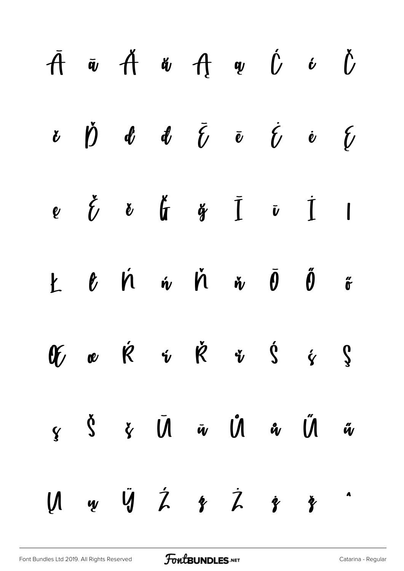|  |  |  | $\bar{A}$ $\bar{w}$ $\dot{A}$ $\ddot{w}$ $\dot{H}$ $\ddot{w}$ $\dot{U}$ $\dot{\theta}$                                                                                                                                                                                                                                                                                                                                                                                                                                                                                    |  |
|--|--|--|---------------------------------------------------------------------------------------------------------------------------------------------------------------------------------------------------------------------------------------------------------------------------------------------------------------------------------------------------------------------------------------------------------------------------------------------------------------------------------------------------------------------------------------------------------------------------|--|
|  |  |  | $\begin{array}{cccccccccccccc} \mathbf{r} & \mathbf{r} & \mathbf{r} & \mathbf{r} & \mathbf{r} & \mathbf{r} & \mathbf{r} & \mathbf{r} & \mathbf{r} & \mathbf{r} & \mathbf{r} & \mathbf{r} & \mathbf{r} & \mathbf{r} & \mathbf{r} & \mathbf{r} & \mathbf{r} & \mathbf{r} & \mathbf{r} & \mathbf{r} & \mathbf{r} & \mathbf{r} & \mathbf{r} & \mathbf{r} & \mathbf{r} & \mathbf{r} & \mathbf{r} & \mathbf{r} & \mathbf{r} & \mathbf{r} &$                                                                                                                                     |  |
|  |  |  | $e \circ \zeta \circ \zeta \circ \zeta \circ \zeta \circ \zeta$                                                                                                                                                                                                                                                                                                                                                                                                                                                                                                           |  |
|  |  |  | $\begin{array}{ccccccccccccc} k & \ell & \acute{\ell} & \acute{\ell} & \acute{\ell} & \acute{\ell} & \acute{\ell} & \acute{\ell} & \acute{\ell} & \acute{\ell} & \acute{\ell} & \acute{\ell} & \acute{\ell} & \acute{\ell} & \acute{\ell} & \acute{\ell} & \acute{\ell} & \acute{\ell} & \acute{\ell} & \acute{\ell} & \acute{\ell} & \acute{\ell} & \acute{\ell} & \acute{\ell} & \acute{\ell} & \acute{\ell} & \acute{\ell} & \acute{\ell} & \acute{\ell} & \acute{\ell} & \acute{\ell} & \acute{\ell} & \acute{\ell} & \acute{\ell} & \acute{\ell} & \acute{\ell} & \$ |  |
|  |  |  | $\mathscr{X}$ or $\dot{\kappa}$ is $\dot{\kappa}$ is $\dot{\kappa}$ is $\dot{\kappa}$ is $\dot{\kappa}$                                                                                                                                                                                                                                                                                                                                                                                                                                                                   |  |
|  |  |  | $\zeta$ $\zeta$ $\zeta$ $\bar{U}$ $\bar{w}$ $\zeta$ $\zeta$ $\zeta$                                                                                                                                                                                                                                                                                                                                                                                                                                                                                                       |  |
|  |  |  | $\begin{array}{ccccccccccccccccc}\n\mathbf{M} & \mathbf{w} & \mathbf{W} & \mathbf{A} & \mathbf{B} & \mathbf{B} & \mathbf{B} & \mathbf{B} & \mathbf{A} & \mathbf{B} & \mathbf{B} & \mathbf{A} & \mathbf{B} & \mathbf{A} & \mathbf{B} & \mathbf{B} & \mathbf{A} & \mathbf{B} & \mathbf{A} & \mathbf{B} & \mathbf{A} & \mathbf{B} & \mathbf{B} & \mathbf{A} & \mathbf{B} & \mathbf{A} & \mathbf{B} & \mathbf{A} & \mathbf{B} & \mathbf{A$                                                                                                                                    |  |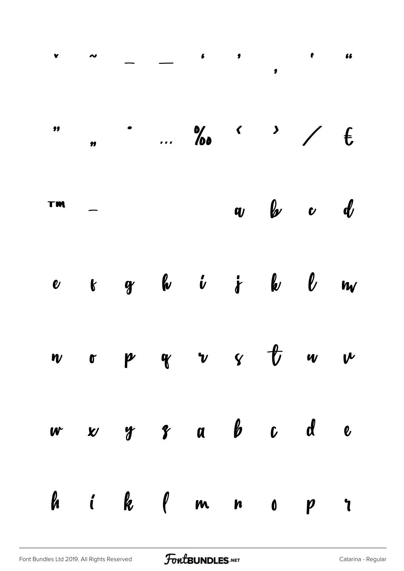|    |  | $\frac{1}{100}$ No $\frac{1}{100}$ $\frac{1}{100}$ |  |                       |  |
|----|--|----------------------------------------------------|--|-----------------------|--|
| TM |  |                                                    |  | $\omega$ b $\omega$ d |  |
|    |  | e k gr he i je he be me                            |  |                       |  |
|    |  | $w$ op $w$ v $y$ $\frac{1}{v}$ w $w$               |  |                       |  |
|    |  | w x y y a b c d e                                  |  |                       |  |
|    |  | hik (mnopr                                         |  |                       |  |